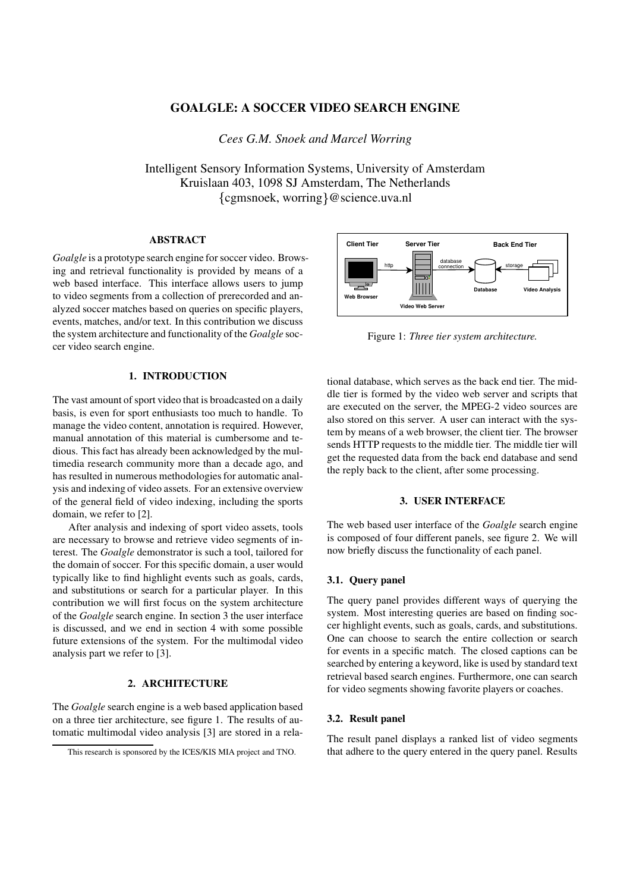# **GOALGLE: A SOCCER VIDEO SEARCH ENGINE**

*Cees G.M. Snoek and Marcel Worring*

Intelligent Sensory Information Systems, University of Amsterdam Kruislaan 403, 1098 SJ Amsterdam, The Netherlands {cgmsnoek, worring}@science.uva.nl

### **ABSTRACT**

*Goalgle* is a prototype search engine for soccer video. Browsing and retrieval functionality is provided by means of a web based interface. This interface allows users to jump to video segments from a collection of prerecorded and analyzed soccer matches based on queries on specific players, events, matches, and/or text. In this contribution we discuss the system architecture and functionality of the *Goalgle* soccer video search engine.

# **1. INTRODUCTION**

The vast amount of sport video that is broadcasted on a daily basis, is even for sport enthusiasts too much to handle. To manage the video content, annotation is required. However, manual annotation of this material is cumbersome and tedious. This fact has already been acknowledged by the multimedia research community more than a decade ago, and has resulted in numerous methodologies for automatic analysis and indexing of video assets. For an extensive overview of the general field of video indexing, including the sports domain, we refer to [2].

After analysis and indexing of sport video assets, tools are necessary to browse and retrieve video segments of interest. The *Goalgle* demonstrator is such a tool, tailored for the domain of soccer. For this specific domain, a user would typically like to find highlight events such as goals, cards, and substitutions or search for a particular player. In this contribution we will first focus on the system architecture of the *Goalgle* search engine. In section 3 the user interface is discussed, and we end in section 4 with some possible future extensions of the system. For the multimodal video analysis part we refer to [3].

### **2. ARCHITECTURE**

The *Goalgle* search engine is a web based application based on a three tier architecture, see figure 1. The results of automatic multimodal video analysis [3] are stored in a rela-



Figure 1: *Three tier system architecture.*

tional database, which serves as the back end tier. The middle tier is formed by the video web server and scripts that are executed on the server, the MPEG-2 video sources are also stored on this server. A user can interact with the system by means of a web browser, the client tier. The browser sends HTTP requests to the middle tier. The middle tier will get the requested data from the back end database and send the reply back to the client, after some processing.

### **3. USER INTERFACE**

The web based user interface of the *Goalgle* search engine is composed of four different panels, see figure 2. We will now briefly discuss the functionality of each panel.

## **3.1. Query panel**

The query panel provides different ways of querying the system. Most interesting queries are based on finding soccer highlight events, such as goals, cards, and substitutions. One can choose to search the entire collection or search for events in a specific match. The closed captions can be searched by entering a keyword, like is used by standard text retrieval based search engines. Furthermore, one can search for video segments showing favorite players or coaches.

#### **3.2. Result panel**

The result panel displays a ranked list of video segments that adhere to the query entered in the query panel. Results

This research is sponsored by the ICES/KIS MIA project and TNO.